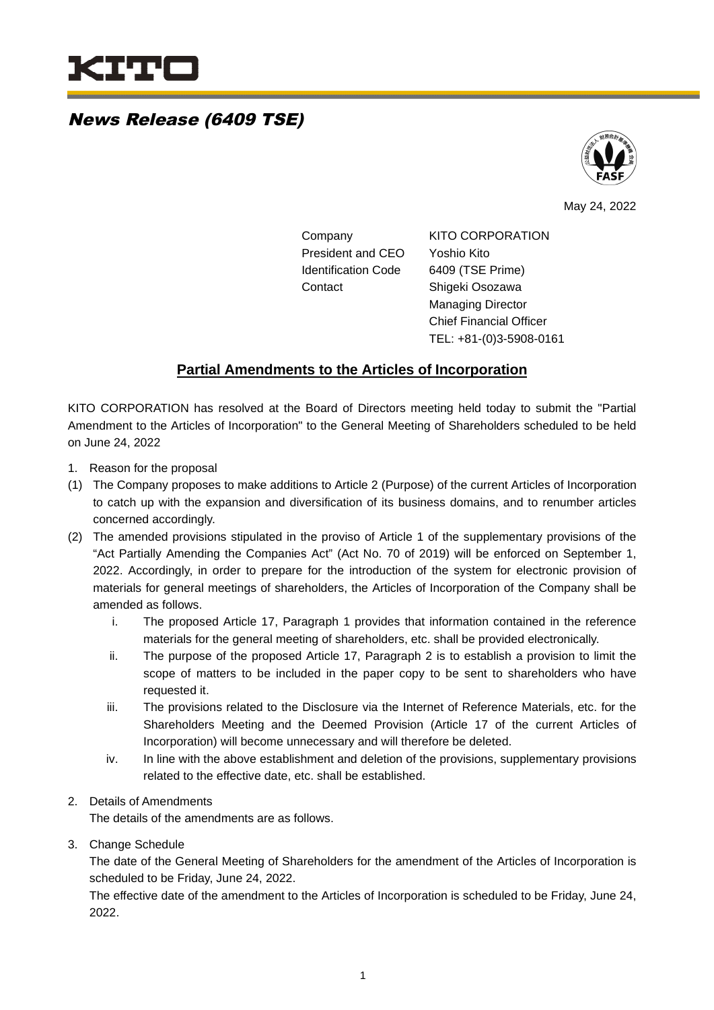

### News Release (6409 TSE)



May 24, 2022

Company KITO CORPORATION President and CEO Yoshio Kito Identification Code 6409 (TSE Prime) Contact Shigeki Osozawa Managing Director Chief Financial Officer

TEL: +81-(0)3-5908-0161

### **Partial Amendments to the Articles of Incorporation**

KITO CORPORATION has resolved at the Board of Directors meeting held today to submit the "Partial Amendment to the Articles of Incorporation" to the General Meeting of Shareholders scheduled to be held on June 24, 2022

- 1. Reason for the proposal
- (1) The Company proposes to make additions to Article 2 (Purpose) of the current Articles of Incorporation to catch up with the expansion and diversification of its business domains, and to renumber articles concerned accordingly.
- (2) The amended provisions stipulated in the proviso of Article 1 of the supplementary provisions of the "Act Partially Amending the Companies Act" (Act No. 70 of 2019) will be enforced on September 1, 2022. Accordingly, in order to prepare for the introduction of the system for electronic provision of materials for general meetings of shareholders, the Articles of Incorporation of the Company shall be amended as follows.
	- i. The proposed Article 17, Paragraph 1 provides that information contained in the reference materials for the general meeting of shareholders, etc. shall be provided electronically.
	- ii. The purpose of the proposed Article 17, Paragraph 2 is to establish a provision to limit the scope of matters to be included in the paper copy to be sent to shareholders who have requested it.
	- iii. The provisions related to the Disclosure via the Internet of Reference Materials, etc. for the Shareholders Meeting and the Deemed Provision (Article 17 of the current Articles of Incorporation) will become unnecessary and will therefore be deleted.
	- iv. In line with the above establishment and deletion of the provisions, supplementary provisions related to the effective date, etc. shall be established.

#### 2. Details of Amendments

The details of the amendments are as follows.

3. Change Schedule

The date of the General Meeting of Shareholders for the amendment of the Articles of Incorporation is scheduled to be Friday, June 24, 2022.

The effective date of the amendment to the Articles of Incorporation is scheduled to be Friday, June 24, 2022.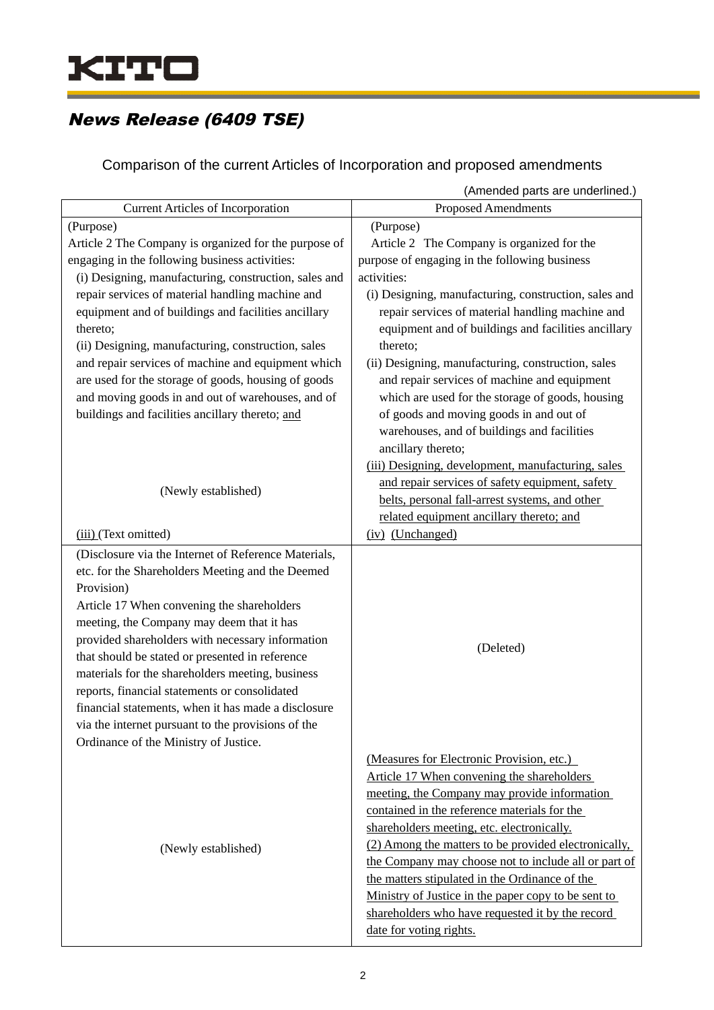

## News Release (6409 TSE)

Comparison of the current Articles of Incorporation and proposed amendments

|                                                                                                                                                                                                                                                                                                                                                                                                                                                                                                                             | (Amended parts are underlined.)                                                                                                                                                                                                                                                                                                                                                                                                                                                                                                               |
|-----------------------------------------------------------------------------------------------------------------------------------------------------------------------------------------------------------------------------------------------------------------------------------------------------------------------------------------------------------------------------------------------------------------------------------------------------------------------------------------------------------------------------|-----------------------------------------------------------------------------------------------------------------------------------------------------------------------------------------------------------------------------------------------------------------------------------------------------------------------------------------------------------------------------------------------------------------------------------------------------------------------------------------------------------------------------------------------|
| <b>Current Articles of Incorporation</b>                                                                                                                                                                                                                                                                                                                                                                                                                                                                                    | <b>Proposed Amendments</b>                                                                                                                                                                                                                                                                                                                                                                                                                                                                                                                    |
| (Purpose)                                                                                                                                                                                                                                                                                                                                                                                                                                                                                                                   | (Purpose)                                                                                                                                                                                                                                                                                                                                                                                                                                                                                                                                     |
| Article 2 The Company is organized for the purpose of                                                                                                                                                                                                                                                                                                                                                                                                                                                                       | Article 2 The Company is organized for the                                                                                                                                                                                                                                                                                                                                                                                                                                                                                                    |
| engaging in the following business activities:                                                                                                                                                                                                                                                                                                                                                                                                                                                                              | purpose of engaging in the following business                                                                                                                                                                                                                                                                                                                                                                                                                                                                                                 |
| (i) Designing, manufacturing, construction, sales and                                                                                                                                                                                                                                                                                                                                                                                                                                                                       | activities:                                                                                                                                                                                                                                                                                                                                                                                                                                                                                                                                   |
| repair services of material handling machine and<br>equipment and of buildings and facilities ancillary<br>thereto;<br>(ii) Designing, manufacturing, construction, sales<br>and repair services of machine and equipment which<br>are used for the storage of goods, housing of goods                                                                                                                                                                                                                                      | (i) Designing, manufacturing, construction, sales and<br>repair services of material handling machine and<br>equipment and of buildings and facilities ancillary<br>thereto;<br>(ii) Designing, manufacturing, construction, sales<br>and repair services of machine and equipment                                                                                                                                                                                                                                                            |
| and moving goods in and out of warehouses, and of                                                                                                                                                                                                                                                                                                                                                                                                                                                                           | which are used for the storage of goods, housing                                                                                                                                                                                                                                                                                                                                                                                                                                                                                              |
| buildings and facilities ancillary thereto; and                                                                                                                                                                                                                                                                                                                                                                                                                                                                             | of goods and moving goods in and out of<br>warehouses, and of buildings and facilities<br>ancillary thereto;                                                                                                                                                                                                                                                                                                                                                                                                                                  |
|                                                                                                                                                                                                                                                                                                                                                                                                                                                                                                                             | (iii) Designing, development, manufacturing, sales                                                                                                                                                                                                                                                                                                                                                                                                                                                                                            |
| (Newly established)                                                                                                                                                                                                                                                                                                                                                                                                                                                                                                         | and repair services of safety equipment, safety                                                                                                                                                                                                                                                                                                                                                                                                                                                                                               |
|                                                                                                                                                                                                                                                                                                                                                                                                                                                                                                                             | belts, personal fall-arrest systems, and other                                                                                                                                                                                                                                                                                                                                                                                                                                                                                                |
|                                                                                                                                                                                                                                                                                                                                                                                                                                                                                                                             | related equipment ancillary thereto; and                                                                                                                                                                                                                                                                                                                                                                                                                                                                                                      |
| (iii) (Text omitted)                                                                                                                                                                                                                                                                                                                                                                                                                                                                                                        | (iv) (Unchanged)                                                                                                                                                                                                                                                                                                                                                                                                                                                                                                                              |
| (Disclosure via the Internet of Reference Materials,                                                                                                                                                                                                                                                                                                                                                                                                                                                                        |                                                                                                                                                                                                                                                                                                                                                                                                                                                                                                                                               |
| etc. for the Shareholders Meeting and the Deemed<br>Provision)<br>Article 17 When convening the shareholders<br>meeting, the Company may deem that it has<br>provided shareholders with necessary information<br>that should be stated or presented in reference<br>materials for the shareholders meeting, business<br>reports, financial statements or consolidated<br>financial statements, when it has made a disclosure<br>via the internet pursuant to the provisions of the<br>Ordinance of the Ministry of Justice. | (Deleted)                                                                                                                                                                                                                                                                                                                                                                                                                                                                                                                                     |
| (Newly established)                                                                                                                                                                                                                                                                                                                                                                                                                                                                                                         | (Measures for Electronic Provision, etc.)<br>Article 17 When convening the shareholders<br>meeting, the Company may provide information<br>contained in the reference materials for the<br>shareholders meeting, etc. electronically.<br>(2) Among the matters to be provided electronically,<br>the Company may choose not to include all or part of<br>the matters stipulated in the Ordinance of the<br>Ministry of Justice in the paper copy to be sent to<br>shareholders who have requested it by the record<br>date for voting rights. |